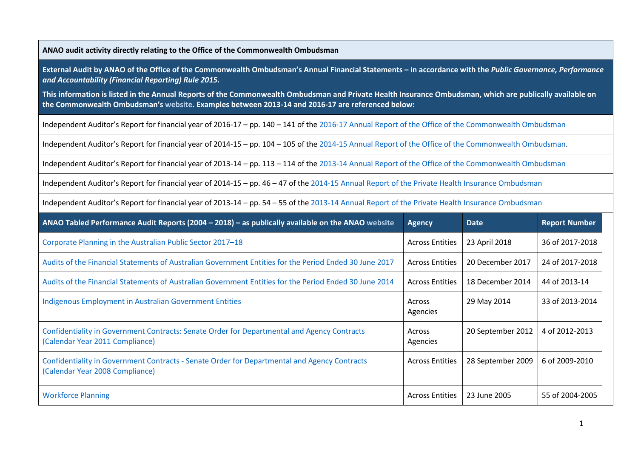**ANAO audit activity directly relating to the Office of the Commonwealth Ombudsman**

**External Audit by ANAO of the Office of the Commonwealth Ombudsman's Annual Financial Statements – in accordance with the** *Public Governance, Performance and Accountability (Financial Reporting) Rule 2015.* 

**This information is listed in the Annual Reports of the Commonwealth Ombudsman and Private Health Insurance Ombudsman, which are publically available on the Commonwealth Ombudsman's [website.](http://www.ombudsman.gov.au/publications/annual/all-commonwealth-ombudsman-reports) Examples between 2013-14 and 2016-17 are referenced below:**

Independent Auditor's Report for financial year of 2016-17 – pp. 140 – 141 of the [2016-17 Annual Report of the Office of the Commonwealth Ombudsman](http://www.ombudsman.gov.au/__data/assets/pdf_file/0018/51516/CO_Annual-Report_2016-17.pdf)

Independent Auditor's Report for financial year of 2014-15 – pp. 104 – 105 of the [2014-15 Annual Report of the Office of the Commonwealth Ombudsman.](http://www.ombudsman.gov.au/__data/assets/pdf_file/0020/36533/commonwealth_ombudsman_annual_report_1415.pdf)

Independent Auditor's Report for financial year of 2013-14 – pp. 113 – 114 of the [2013-14 Annual Report of the Office of the Commonwealth Ombudsman](http://www.ombudsman.gov.au/__data/assets/pdf_file/0025/36376/commonwealth_ombudsman_annual_report_1314.pdf)

Independent Auditor's Report for financial year of 2014-15 – pp. 46 – 47 of the [2014-15 Annual Report of the Private Health Insurance Ombudsman](http://www.ombudsman.gov.au/__data/assets/pdf_file/0027/29259/PHIO-Annual-Report-2015.pdf)

Independent Auditor's Report for financial year of 2013-14 – pp. 54 – 55 of the [2013-14 Annual Report of the Private Health Insurance Ombudsman](http://www.ombudsman.gov.au/__data/assets/pdf_file/0027/29259/PHIO-Annual-Report-2015.pdf)

| ANAO Tabled Performance Audit Reports (2004 – 2018) – as publically available on the ANAO website                               | <b>Agency</b>          | <b>Date</b>       | <b>Report Number</b> |
|---------------------------------------------------------------------------------------------------------------------------------|------------------------|-------------------|----------------------|
| Corporate Planning in the Australian Public Sector 2017-18                                                                      | <b>Across Entities</b> | 23 April 2018     | 36 of 2017-2018      |
| Audits of the Financial Statements of Australian Government Entities for the Period Ended 30 June 2017                          | <b>Across Entities</b> | 20 December 2017  | 24 of 2017-2018      |
| Audits of the Financial Statements of Australian Government Entities for the Period Ended 30 June 2014                          | <b>Across Entities</b> | 18 December 2014  | 44 of 2013-14        |
| Indigenous Employment in Australian Government Entities                                                                         | Across<br>Agencies     | 29 May 2014       | 33 of 2013-2014      |
| Confidentiality in Government Contracts: Senate Order for Departmental and Agency Contracts<br>(Calendar Year 2011 Compliance)  | Across<br>Agencies     | 20 September 2012 | 4 of 2012-2013       |
| Confidentiality in Government Contracts - Senate Order for Departmental and Agency Contracts<br>(Calendar Year 2008 Compliance) | <b>Across Entities</b> | 28 September 2009 | 6 of 2009-2010       |
| <b>Workforce Planning</b>                                                                                                       | <b>Across Entities</b> | 23 June 2005      | 55 of 2004-2005      |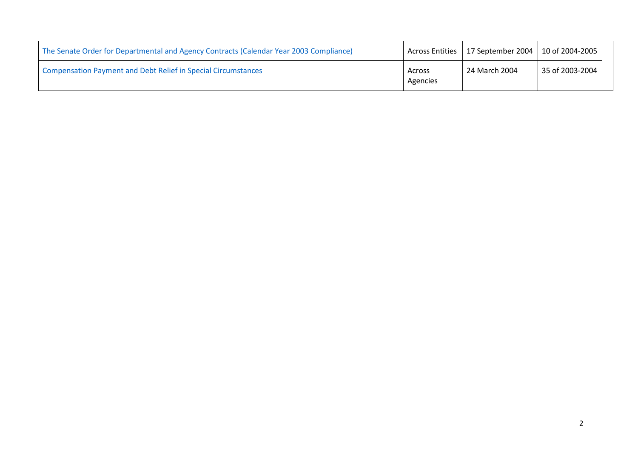| The Senate Order for Departmental and Agency Contracts (Calendar Year 2003 Compliance) |                    | Across Entities   17 September 2004   10 of 2004-2005 |                 |  |
|----------------------------------------------------------------------------------------|--------------------|-------------------------------------------------------|-----------------|--|
| <b>Compensation Payment and Debt Relief in Special Circumstances</b>                   | Across<br>Agencies | 24 March 2004                                         | 35 of 2003-2004 |  |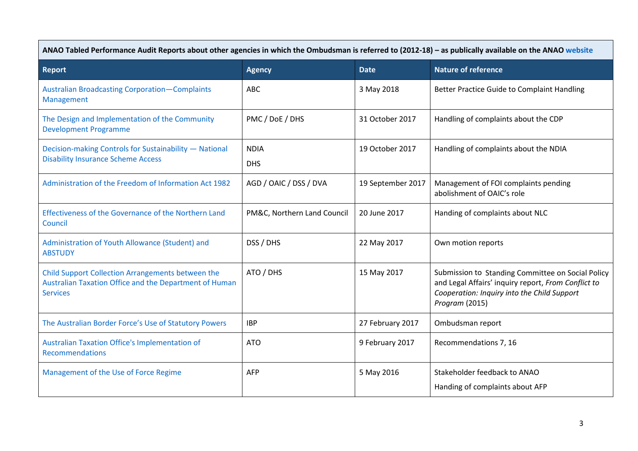| ANAO Tabled Performance Audit Reports about other agencies in which the Ombudsman is referred to (2012-18) - as publically available on the ANAO website |                             |                   |                                                                                                                                                                           |
|----------------------------------------------------------------------------------------------------------------------------------------------------------|-----------------------------|-------------------|---------------------------------------------------------------------------------------------------------------------------------------------------------------------------|
| <b>Report</b>                                                                                                                                            | <b>Agency</b>               | <b>Date</b>       | <b>Nature of reference</b>                                                                                                                                                |
| <b>Australian Broadcasting Corporation-Complaints</b><br>Management                                                                                      | <b>ABC</b>                  | 3 May 2018        | Better Practice Guide to Complaint Handling                                                                                                                               |
| The Design and Implementation of the Community<br><b>Development Programme</b>                                                                           | PMC / DoE / DHS             | 31 October 2017   | Handling of complaints about the CDP                                                                                                                                      |
| Decision-making Controls for Sustainability - National<br><b>Disability Insurance Scheme Access</b>                                                      | <b>NDIA</b><br><b>DHS</b>   | 19 October 2017   | Handling of complaints about the NDIA                                                                                                                                     |
| Administration of the Freedom of Information Act 1982                                                                                                    | AGD / OAIC / DSS / DVA      | 19 September 2017 | Management of FOI complaints pending<br>abolishment of OAIC's role                                                                                                        |
| Effectiveness of the Governance of the Northern Land<br>Council                                                                                          | PM&C, Northern Land Council | 20 June 2017      | Handing of complaints about NLC                                                                                                                                           |
| Administration of Youth Allowance (Student) and<br><b>ABSTUDY</b>                                                                                        | DSS / DHS                   | 22 May 2017       | Own motion reports                                                                                                                                                        |
| Child Support Collection Arrangements between the<br>Australian Taxation Office and the Department of Human<br><b>Services</b>                           | ATO / DHS                   | 15 May 2017       | Submission to Standing Committee on Social Policy<br>and Legal Affairs' inquiry report, From Conflict to<br>Cooperation: Inquiry into the Child Support<br>Program (2015) |
| The Australian Border Force's Use of Statutory Powers                                                                                                    | <b>IBP</b>                  | 27 February 2017  | Ombudsman report                                                                                                                                                          |
| <b>Australian Taxation Office's Implementation of</b><br><b>Recommendations</b>                                                                          | <b>ATO</b>                  | 9 February 2017   | Recommendations 7, 16                                                                                                                                                     |
| Management of the Use of Force Regime                                                                                                                    | AFP                         | 5 May 2016        | Stakeholder feedback to ANAO<br>Handing of complaints about AFP                                                                                                           |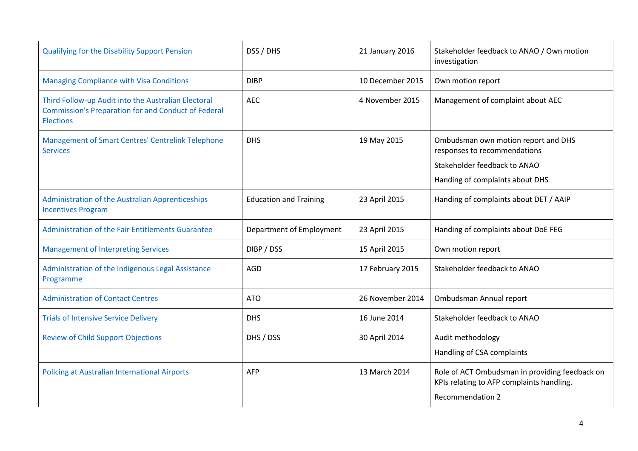| <b>Qualifying for the Disability Support Pension</b>                                                                                  | DSS / DHS                     | 21 January 2016  | Stakeholder feedback to ANAO / Own motion<br>investigation                                                                             |
|---------------------------------------------------------------------------------------------------------------------------------------|-------------------------------|------------------|----------------------------------------------------------------------------------------------------------------------------------------|
| <b>Managing Compliance with Visa Conditions</b>                                                                                       | <b>DIBP</b>                   | 10 December 2015 | Own motion report                                                                                                                      |
| Third Follow-up Audit into the Australian Electoral<br><b>Commission's Preparation for and Conduct of Federal</b><br><b>Elections</b> | <b>AEC</b>                    | 4 November 2015  | Management of complaint about AEC                                                                                                      |
| <b>Management of Smart Centres' Centrelink Telephone</b><br><b>Services</b>                                                           | <b>DHS</b>                    | 19 May 2015      | Ombudsman own motion report and DHS<br>responses to recommendations<br>Stakeholder feedback to ANAO<br>Handing of complaints about DHS |
| Administration of the Australian Apprenticeships<br><b>Incentives Program</b>                                                         | <b>Education and Training</b> | 23 April 2015    | Handing of complaints about DET / AAIP                                                                                                 |
| Administration of the Fair Entitlements Guarantee                                                                                     | Department of Employment      | 23 April 2015    | Handing of complaints about DoE FEG                                                                                                    |
| <b>Management of Interpreting Services</b>                                                                                            | DIBP / DSS                    | 15 April 2015    | Own motion report                                                                                                                      |
| Administration of the Indigenous Legal Assistance<br>Programme                                                                        | AGD                           | 17 February 2015 | Stakeholder feedback to ANAO                                                                                                           |
| <b>Administration of Contact Centres</b>                                                                                              | <b>ATO</b>                    | 26 November 2014 | Ombudsman Annual report                                                                                                                |
| <b>Trials of Intensive Service Delivery</b>                                                                                           | <b>DHS</b>                    | 16 June 2014     | Stakeholder feedback to ANAO                                                                                                           |
| <b>Review of Child Support Objections</b>                                                                                             | DHS / DSS                     | 30 April 2014    | Audit methodology<br>Handling of CSA complaints                                                                                        |
| <b>Policing at Australian International Airports</b>                                                                                  | AFP                           | 13 March 2014    | Role of ACT Ombudsman in providing feedback on<br>KPIs relating to AFP complaints handling.<br><b>Recommendation 2</b>                 |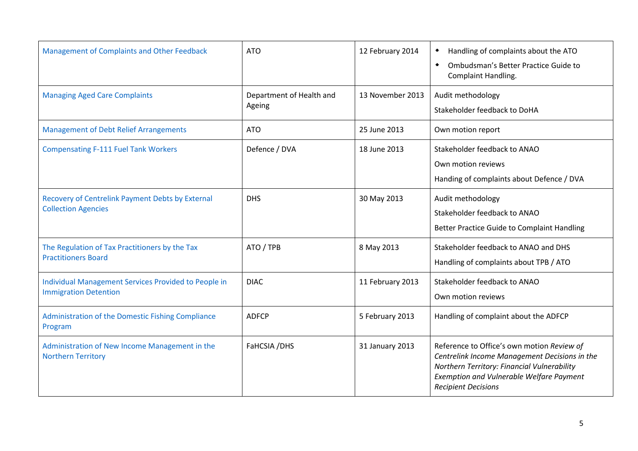| Management of Complaints and Other Feedback                                          | <b>ATO</b>                         | 12 February 2014 | Handling of complaints about the ATO<br>٠<br>Ombudsman's Better Practice Guide to<br>$\blacktriangle$<br><b>Complaint Handling.</b>                                                                                         |
|--------------------------------------------------------------------------------------|------------------------------------|------------------|-----------------------------------------------------------------------------------------------------------------------------------------------------------------------------------------------------------------------------|
| <b>Managing Aged Care Complaints</b>                                                 | Department of Health and<br>Ageing | 13 November 2013 | Audit methodology<br>Stakeholder feedback to DoHA                                                                                                                                                                           |
| <b>Management of Debt Relief Arrangements</b>                                        | <b>ATO</b>                         | 25 June 2013     | Own motion report                                                                                                                                                                                                           |
| <b>Compensating F-111 Fuel Tank Workers</b>                                          | Defence / DVA                      | 18 June 2013     | Stakeholder feedback to ANAO<br>Own motion reviews<br>Handing of complaints about Defence / DVA                                                                                                                             |
| Recovery of Centrelink Payment Debts by External<br><b>Collection Agencies</b>       | <b>DHS</b>                         | 30 May 2013      | Audit methodology<br>Stakeholder feedback to ANAO<br>Better Practice Guide to Complaint Handling                                                                                                                            |
| The Regulation of Tax Practitioners by the Tax<br><b>Practitioners Board</b>         | ATO / TPB                          | 8 May 2013       | Stakeholder feedback to ANAO and DHS<br>Handling of complaints about TPB / ATO                                                                                                                                              |
| Individual Management Services Provided to People in<br><b>Immigration Detention</b> | <b>DIAC</b>                        | 11 February 2013 | Stakeholder feedback to ANAO<br>Own motion reviews                                                                                                                                                                          |
| Administration of the Domestic Fishing Compliance<br>Program                         | <b>ADFCP</b>                       | 5 February 2013  | Handling of complaint about the ADFCP                                                                                                                                                                                       |
| Administration of New Income Management in the<br><b>Northern Territory</b>          | FaHCSIA /DHS                       | 31 January 2013  | Reference to Office's own motion Review of<br>Centrelink Income Management Decisions in the<br>Northern Territory: Financial Vulnerability<br><b>Exemption and Vulnerable Welfare Payment</b><br><b>Recipient Decisions</b> |